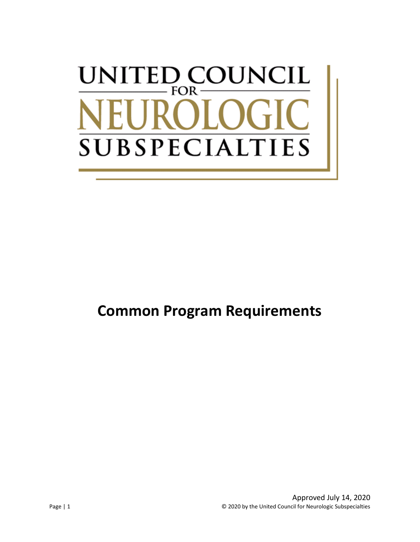# UNITED COUNCIL FOR-**SUBSPECIALT**  $\Gamma$ IES

## **Common Program Requirements**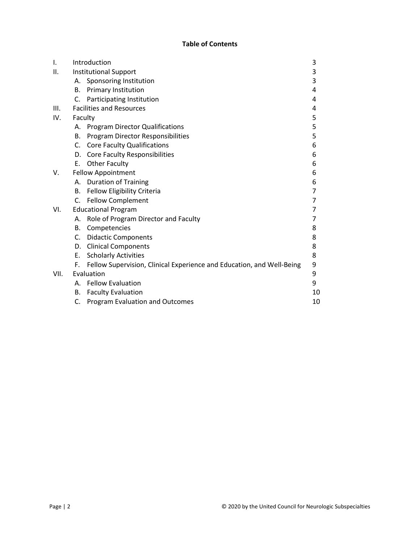### **Table of Contents**

| Ι.   | Introduction                 |                                                                       | 3  |
|------|------------------------------|-----------------------------------------------------------------------|----|
| ΙΙ.  | <b>Institutional Support</b> |                                                                       | 3  |
|      |                              | A. Sponsoring Institution                                             | 3  |
|      |                              | <b>B.</b> Primary Institution                                         | 4  |
|      | C.                           | Participating Institution                                             | 4  |
| III. |                              | <b>Facilities and Resources</b>                                       | 4  |
| IV.  | Faculty                      |                                                                       | 5  |
|      |                              | A. Program Director Qualifications                                    | 5  |
|      | В.                           | Program Director Responsibilities                                     | 5  |
|      |                              | C. Core Faculty Qualifications                                        | 6  |
|      | D.                           | <b>Core Faculty Responsibilities</b>                                  | 6  |
|      | E.                           | <b>Other Faculty</b>                                                  | 6  |
| V.   | <b>Fellow Appointment</b>    |                                                                       | 6  |
|      | А.                           | <b>Duration of Training</b>                                           | 6  |
|      | <b>B.</b>                    | Fellow Eligibility Criteria                                           | 7  |
|      |                              | C. Fellow Complement                                                  | 7  |
| VI.  | <b>Educational Program</b>   |                                                                       | 7  |
|      | А.                           | Role of Program Director and Faculty                                  | 7  |
|      | В.                           | Competencies                                                          | 8  |
|      |                              | C. Didactic Components                                                | 8  |
|      |                              | D. Clinical Components                                                | 8  |
|      | Е.                           | <b>Scholarly Activities</b>                                           | 8  |
|      | F.                           | Fellow Supervision, Clinical Experience and Education, and Well-Being | 9  |
| VII. | Evaluation                   |                                                                       | 9  |
|      | А.                           | <b>Fellow Evaluation</b>                                              | 9  |
|      | В.                           | <b>Faculty Evaluation</b>                                             | 10 |
|      | C.                           | <b>Program Evaluation and Outcomes</b>                                | 10 |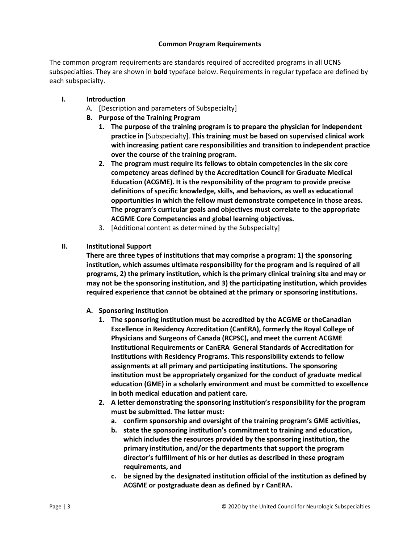#### **Common Program Requirements**

The common program requirements are standards required of accredited programs in all UCNS subspecialties. They are shown in **bold** typeface below. Requirements in regular typeface are defined by each subspecialty.

- **I. Introduction**
	- A. [Description and parameters of Subspecialty]
	- **B. Purpose of the Training Program**
		- **1. The purpose of the training program is to prepare the physician for independent practice in** [Subspecialty]. **This training must be based on supervised clinical work with increasing patient care responsibilities and transition to independent practice over the course of the training program.**
		- **2. The program must require its fellows to obtain competencies in the six core competency areas defined by the Accreditation Council for Graduate Medical Education (ACGME). It is the responsibility of the program to provide precise definitions of specific knowledge, skills, and behaviors, as well as educational opportunities in which the fellow must demonstrate competence in those areas. The program's curricular goals and objectives must correlate to the appropriate ACGME Core Competencies and global learning objectives.**
		- 3. [Additional content as determined by the Subspecialty]
- **II. Institutional Support**

**There are three types of institutions that may comprise a program: 1) the sponsoring institution, which assumes ultimate responsibility for the program and is required of all programs, 2) the primary institution, which is the primary clinical training site and may or may not be the sponsoring institution, and 3) the participating institution, which provides required experience that cannot be obtained at the primary or sponsoring institutions.**

- **A. Sponsoring Institution**
	- **1. The sponsoring institution must be accredited by the ACGME or theCanadian Excellence in Residency Accreditation (CanERA), formerly the Royal College of Physicians and Surgeons of Canada (RCPSC), and meet the current ACGME Institutional Requirements or CanERA General Standards of Accreditation for Institutions with Residency Programs. This responsibility extends to fellow assignments at all primary and participating institutions. The sponsoring institution must be appropriately organized for the conduct of graduate medical education (GME) in a scholarly environment and must be committed to excellence in both medical education and patient care.**
	- **2. A letter demonstrating the sponsoring institution's responsibility for the program must be submitted. The letter must:**
		- **a. confirm sponsorship and oversight of the training program's GME activities,**
		- **b. state the sponsoring institution's commitment to training and education, which includes the resources provided by the sponsoring institution, the primary institution, and/or the departments that support the program director's fulfillment of his or her duties as described in these program requirements, and**
		- **c. be signed by the designated institution official of the institution as defined by ACGME or postgraduate dean as defined by r CanERA.**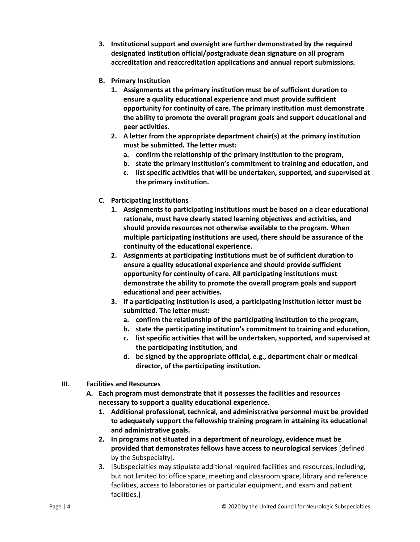- **3. Institutional support and oversight are further demonstrated by the required designated institution official/postgraduate dean signature on all program accreditation and reaccreditation applications and annual report submissions.**
- **B. Primary Institution**
	- **1. Assignments at the primary institution must be of sufficient duration to ensure a quality educational experience and must provide sufficient opportunity for continuity of care. The primary institution must demonstrate the ability to promote the overall program goals and support educational and peer activities.**
	- **2. A letter from the appropriate department chair(s) at the primary institution must be submitted. The letter must:**
		- **a. confirm the relationship of the primary institution to the program,**
		- **b. state the primary institution's commitment to training and education, and**
		- **c. list specific activities that will be undertaken, supported, and supervised at the primary institution.**
- **C. Participating Institutions**
	- **1. Assignments to participating institutions must be based on a clear educational rationale, must have clearly stated learning objectives and activities, and should provide resources not otherwise available to the program. When multiple participating institutions are used, there should be assurance of the continuity of the educational experience.**
	- **2. Assignments at participating institutions must be of sufficient duration to ensure a quality educational experience and should provide sufficient opportunity for continuity of care. All participating institutions must demonstrate the ability to promote the overall program goals and support educational and peer activities.**
	- **3. If a participating institution is used, a participating institution letter must be submitted. The letter must:**
		- **a. confirm the relationship of the participating institution to the program,**
		- **b. state the participating institution's commitment to training and education,**
		- **c. list specific activities that will be undertaken, supported, and supervised at the participating institution, and**
		- **d. be signed by the appropriate official, e.g., department chair or medical director, of the participating institution.**
- **III. Facilities and Resources**
	- **A. Each program must demonstrate that it possesses the facilities and resources necessary to support a quality educational experience.**
		- **1. Additional professional, technical, and administrative personnel must be provided to adequately support the fellowship training program in attaining its educational and administrative goals.**
		- **2. In programs not situated in a department of neurology, evidence must be provided that demonstrates fellows have access to neurological services** [defined by the Subspecialty]**.**
		- 3. [Subspecialties may stipulate additional required facilities and resources, including, but not limited to: office space, meeting and classroom space, library and reference facilities, access to laboratories or particular equipment, and exam and patient facilities.]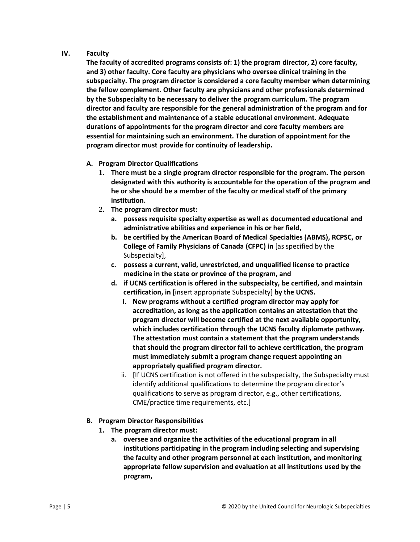#### **IV. Faculty**

**The faculty of accredited programs consists of: 1) the program director, 2) core faculty, and 3) other faculty. Core faculty are physicians who oversee clinical training in the subspecialty. The program director is considered a core faculty member when determining the fellow complement. Other faculty are physicians and other professionals determined by the Subspecialty to be necessary to deliver the program curriculum. The program director and faculty are responsible for the general administration of the program and for the establishment and maintenance of a stable educational environment. Adequate durations of appointments for the program director and core faculty members are essential for maintaining such an environment. The duration of appointment for the program director must provide for continuity of leadership.**

- **A. Program Director Qualifications**
	- **1. There must be a single program director responsible for the program. The person designated with this authority is accountable for the operation of the program and he or she should be a member of the faculty or medical staff of the primary institution.**
	- **2. The program director must:**
		- **a. possess requisite specialty expertise as well as documented educational and administrative abilities and experience in his or her field,**
		- **b. be certified by the American Board of Medical Specialties (ABMS), RCPSC, or College of Family Physicians of Canada (CFPC) in** [as specified by the Subspecialty],
		- **c. possess a current, valid, unrestricted, and unqualified license to practice medicine in the state or province of the program, and**
		- **d. if UCNS certification is offered in the subspecialty, be certified, and maintain certification, in** [insert appropriate Subspecialty] **by the UCNS.**
			- **i. New programs without a certified program director may apply for accreditation, as long as the application contains an attestation that the program director will become certified at the next available opportunity, which includes certification through the UCNS faculty diplomate pathway. The attestation must contain a statement that the program understands that should the program director fail to achieve certification, the program must immediately submit a program change request appointing an appropriately qualified program director.**
			- ii. [If UCNS certification is not offered in the subspecialty, the Subspecialty must identify additional qualifications to determine the program director's qualifications to serve as program director, e.g., other certifications, CME/practice time requirements, etc.]
- **B. Program Director Responsibilities**
	- **1. The program director must:**
		- **a. oversee and organize the activities of the educational program in all institutions participating in the program including selecting and supervising the faculty and other program personnel at each institution, and monitoring appropriate fellow supervision and evaluation at all institutions used by the program,**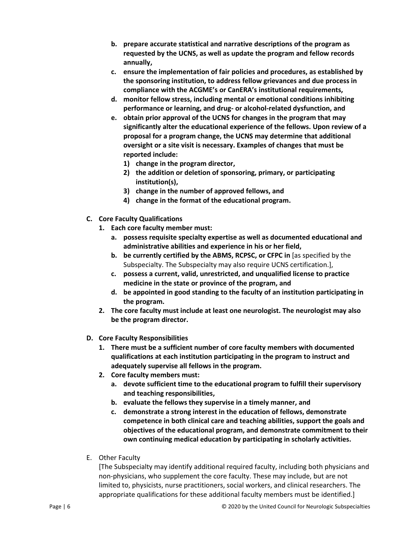- **b. prepare accurate statistical and narrative descriptions of the program as requested by the UCNS, as well as update the program and fellow records annually,**
- **c. ensure the implementation of fair policies and procedures, as established by the sponsoring institution, to address fellow grievances and due process in compliance with the ACGME's or CanERA's institutional requirements,**
- **d. monitor fellow stress, including mental or emotional conditions inhibiting performance or learning, and drug- or alcohol-related dysfunction, and**
- **e. obtain prior approval of the UCNS for changes in the program that may significantly alter the educational experience of the fellows. Upon review of a proposal for a program change, the UCNS may determine that additional oversight or a site visit is necessary. Examples of changes that must be reported include:**
	- **1) change in the program director,**
	- **2) the addition or deletion of sponsoring, primary, or participating institution(s),**
	- **3) change in the number of approved fellows, and**
	- **4) change in the format of the educational program.**
- **C. Core Faculty Qualifications**
	- **1. Each core faculty member must:** 
		- **a. possess requisite specialty expertise as well as documented educational and administrative abilities and experience in his or her field,**
		- **b. be currently certified by the ABMS, RCPSC, or CFPC in** [as specified by the Subspecialty. The Subspecialty may also require UCNS certification.],
		- **c. possess a current, valid, unrestricted, and unqualified license to practice medicine in the state or province of the program, and**
		- **d. be appointed in good standing to the faculty of an institution participating in the program.**
	- **2. The core faculty must include at least one neurologist. The neurologist may also be the program director.**
- **D. Core Faculty Responsibilities**
	- **1. There must be a sufficient number of core faculty members with documented qualifications at each institution participating in the program to instruct and adequately supervise all fellows in the program.**
	- **2. Core faculty members must:**
		- **a. devote sufficient time to the educational program to fulfill their supervisory and teaching responsibilities,**
		- **b. evaluate the fellows they supervise in a timely manner, and**
		- **c. demonstrate a strong interest in the education of fellows, demonstrate competence in both clinical care and teaching abilities, support the goals and objectives of the educational program, and demonstrate commitment to their own continuing medical education by participating in scholarly activities.**
- E. Other Faculty

[The Subspecialty may identify additional required faculty, including both physicians and non-physicians, who supplement the core faculty. These may include, but are not limited to, physicists, nurse practitioners, social workers, and clinical researchers. The appropriate qualifications for these additional faculty members must be identified.]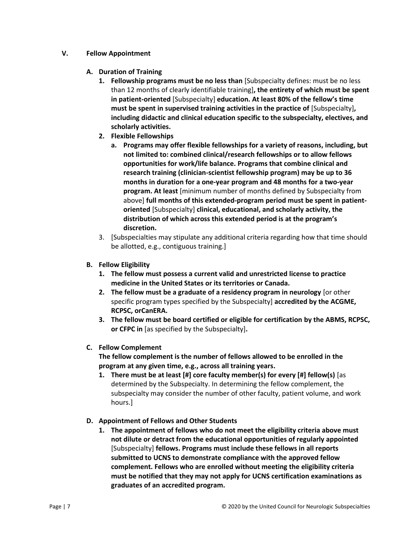#### **V. Fellow Appointment**

#### **A. Duration of Training**

- **1. Fellowship programs must be no less than** [Subspecialty defines: must be no less than 12 months of clearly identifiable training]**, the entirety of which must be spent in patient-oriented** [Subspecialty] **education. At least 80% of the fellow's time must be spent in supervised training activities in the practice of** [Subspecialty]**, including didactic and clinical education specific to the subspecialty, electives, and scholarly activities.**
- **2. Flexible Fellowships**
	- **a. Programs may offer flexible fellowships for a variety of reasons, including, but not limited to: combined clinical/research fellowships or to allow fellows opportunities for work/life balance. Programs that combine clinical and research training (clinician-scientist fellowship program) may be up to 36 months in duration for a one-year program and 48 months for a two-year program. At least** [minimum number of months defined by Subspecialty from above] **full months of this extended-program period must be spent in patientoriented** [Subspecialty] **clinical, educational, and scholarly activity, the distribution of which across this extended period is at the program's discretion.**
- 3. [Subspecialties may stipulate any additional criteria regarding how that time should be allotted, e.g., contiguous training.]
- **B. Fellow Eligibility**
	- **1. The fellow must possess a current valid and unrestricted license to practice medicine in the United States or its territories or Canada.**
	- **2. The fellow must be a graduate of a residency program in neurology** [or other specific program types specified by the Subspecialty] **accredited by the ACGME, RCPSC, orCanERA.**
	- **3. The fellow must be board certified or eligible for certification by the ABMS, RCPSC, or CFPC in** [as specified by the Subspecialty]**.**

#### **C. Fellow Complement**

**The fellow complement is the number of fellows allowed to be enrolled in the program at any given time, e.g., across all training years.** 

- **1. There must be at least [#] core faculty member(s) for every [#] fellow(s)** [as determined by the Subspecialty. In determining the fellow complement, the subspecialty may consider the number of other faculty, patient volume, and work hours.]
- **D. Appointment of Fellows and Other Students**
	- **1. The appointment of fellows who do not meet the eligibility criteria above must not dilute or detract from the educational opportunities of regularly appointed**  [Subspecialty] **fellows. Programs must include these fellows in all reports submitted to UCNS to demonstrate compliance with the approved fellow complement. Fellows who are enrolled without meeting the eligibility criteria must be notified that they may not apply for UCNS certification examinations as graduates of an accredited program.**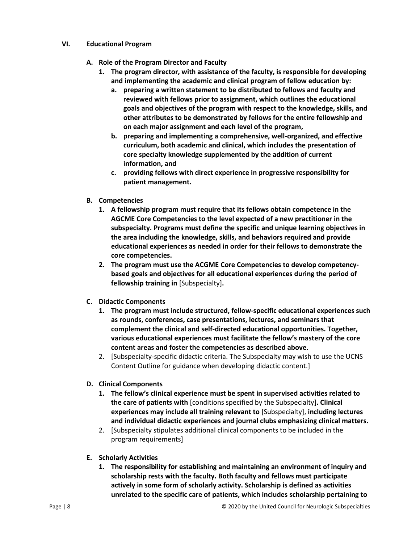#### **VI. Educational Program**

- **A. Role of the Program Director and Faculty**
	- **1. The program director, with assistance of the faculty, is responsible for developing and implementing the academic and clinical program of fellow education by:**
		- **a. preparing a written statement to be distributed to fellows and faculty and reviewed with fellows prior to assignment, which outlines the educational goals and objectives of the program with respect to the knowledge, skills, and other attributes to be demonstrated by fellows for the entire fellowship and on each major assignment and each level of the program,**
		- **b. preparing and implementing a comprehensive, well-organized, and effective curriculum, both academic and clinical, which includes the presentation of core specialty knowledge supplemented by the addition of current information, and**
		- **c. providing fellows with direct experience in progressive responsibility for patient management.**
- **B. Competencies**
	- **1. A fellowship program must require that its fellows obtain competence in the AGCME Core Competencies to the level expected of a new practitioner in the subspecialty. Programs must define the specific and unique learning objectives in the area including the knowledge, skills, and behaviors required and provide educational experiences as needed in order for their fellows to demonstrate the core competencies.**
	- **2. The program must use the ACGME Core Competencies to develop competencybased goals and objectives for all educational experiences during the period of fellowship training in** [Subspecialty]**.**
- **C. Didactic Components**
	- **1. The program must include structured, fellow-specific educational experiences such as rounds, conferences, case presentations, lectures, and seminars that complement the clinical and self-directed educational opportunities. Together, various educational experiences must facilitate the fellow's mastery of the core content areas and foster the competencies as described above.**
	- 2. [Subspecialty-specific didactic criteria. The Subspecialty may wish to use the UCNS Content Outline for guidance when developing didactic content.]
- **D. Clinical Components**
	- **1. The fellow's clinical experience must be spent in supervised activities related to the care of patients with** [conditions specified by the Subspecialty]**. Clinical experiences may include all training relevant to** [Subspecialty], **including lectures and individual didactic experiences and journal clubs emphasizing clinical matters.**
	- 2. [Subspecialty stipulates additional clinical components to be included in the program requirements]
- **E. Scholarly Activities**
	- **1. The responsibility for establishing and maintaining an environment of inquiry and scholarship rests with the faculty. Both faculty and fellows must participate actively in some form of scholarly activity. Scholarship is defined as activities unrelated to the specific care of patients, which includes scholarship pertaining to**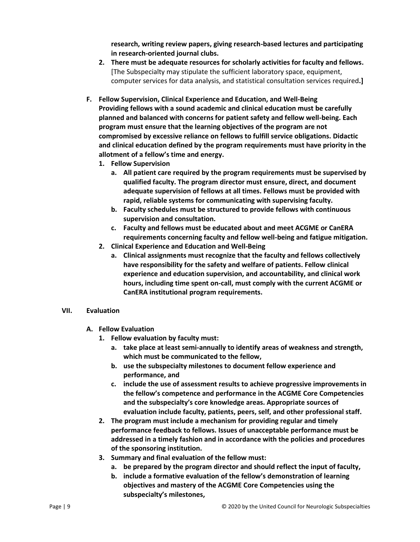**research, writing review papers, giving research-based lectures and participating in research-oriented journal clubs.**

- **2. There must be adequate resources for scholarly activities for faculty and fellows.** [The Subspecialty may stipulate the sufficient laboratory space, equipment, computer services for data analysis, and statistical consultation services required**.]**
- **F. Fellow Supervision, Clinical Experience and Education, and Well-Being Providing fellows with a sound academic and clinical education must be carefully planned and balanced with concerns for patient safety and fellow well-being. Each program must ensure that the learning objectives of the program are not compromised by excessive reliance on fellows to fulfill service obligations. Didactic and clinical education defined by the program requirements must have priority in the allotment of a fellow's time and energy.**
	- **1. Fellow Supervision**
		- **a. All patient care required by the program requirements must be supervised by qualified faculty. The program director must ensure, direct, and document adequate supervision of fellows at all times. Fellows must be provided with rapid, reliable systems for communicating with supervising faculty.**
		- **b. Faculty schedules must be structured to provide fellows with continuous supervision and consultation.**
		- **c. Faculty and fellows must be educated about and meet ACGME or CanERA requirements concerning faculty and fellow well-being and fatigue mitigation.**
	- **2. Clinical Experience and Education and Well-Being**
		- **a. Clinical assignments must recognize that the faculty and fellows collectively have responsibility for the safety and welfare of patients. Fellow clinical experience and education supervision, and accountability, and clinical work hours, including time spent on-call, must comply with the current ACGME or CanERA institutional program requirements.**

#### **VII. Evaluation**

- **A. Fellow Evaluation**
	- **1. Fellow evaluation by faculty must:**
		- **a. take place at least semi-annually to identify areas of weakness and strength, which must be communicated to the fellow,**
		- **b. use the subspecialty milestones to document fellow experience and performance, and**
		- **c. include the use of assessment results to achieve progressive improvements in the fellow's competence and performance in the ACGME Core Competencies and the subspecialty's core knowledge areas. Appropriate sources of evaluation include faculty, patients, peers, self, and other professional staff.**
	- **2. The program must include a mechanism for providing regular and timely performance feedback to fellows. Issues of unacceptable performance must be addressed in a timely fashion and in accordance with the policies and procedures of the sponsoring institution.**
	- **3. Summary and final evaluation of the fellow must:**
		- **a. be prepared by the program director and should reflect the input of faculty,**
		- **b. include a formative evaluation of the fellow's demonstration of learning objectives and mastery of the ACGME Core Competencies using the subspecialty's milestones,**